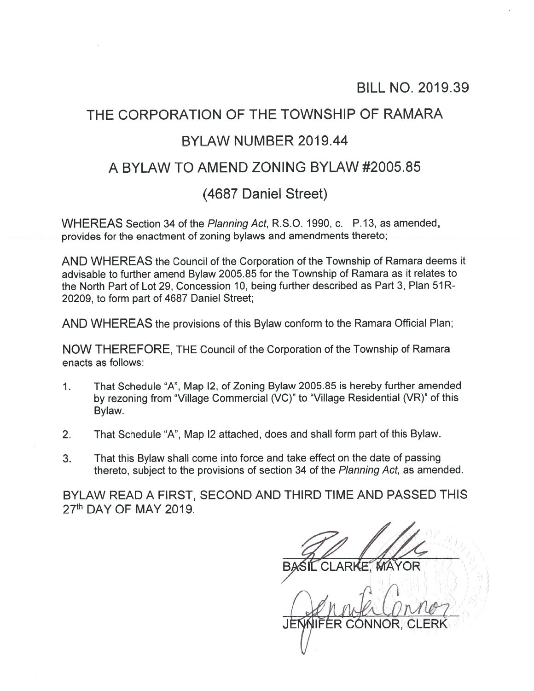### BILL NO. 2019.39

# THE CORPORATION OF THE TOWNSHIP OF RAMARA BYLAW NUMBER 2019.44

# A BYLAW TO AMEND ZONING BYLAW #2005.85

## (4687 Daniel Street)

WHEREAS Section 34 of the Planning Act, R.S.O. 1990, c. P.13, as amended, provides for the enactment of zoning bylaws and amendments thereto;

AND WHEREAS the Council of the Corporation of the Township of Ramara deems it advisable to further amend Bylaw 2005.85 for the Township of Ramara as it relates to the North Part of Lot 29, Concession 10, being further described as Part 3, Plan 51R-20209, to form par<sup>t</sup> of 4687 Daniel Street;

AND WHEREAS the provisions of this Bylaw conform to the Ramara Official Plan;

NOW THEREFORE, THE Council of the Corporation of the Township of Ramara enacts as follows:

- 1. That Schedule "A", Map I2, of Zoning Bylaw 2005.85 is hereby further amended by rezoning from "Village Commercial (VC)" to "Village Residential (VR)" of this Bylaw.
- 2. That Schedule "A", Map 12 attached, does and shall form par<sup>t</sup> of this Bylaw.
- 3. That this Bylaw shall come into force and take effect on the date of passing thereto, subject to the provisions of section 34 of the Planning Act, as amended.

BYLAW READ A FIRST, SECOND AND THIRD TIME AND PASSED THIS 27th DAY OF MAY 2019.

 $A$  is  $A$  with  $\cup$  if  $\setminus$  if  $\setminus$ ER CONNOR,